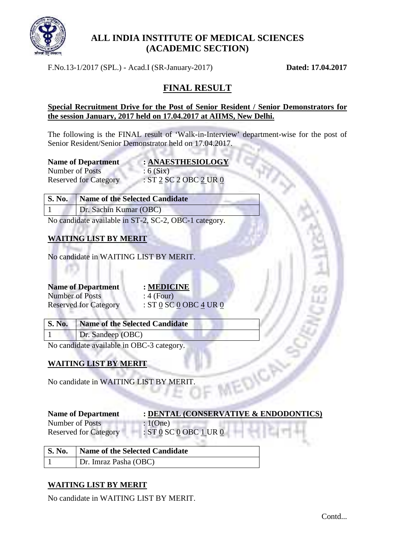

# **ALL INDIA INSTITUTE OF MEDICAL SCIENCES (ACADEMIC SECTION)**

F.No.13-1/2017 (SPL.) - Acad.I (SR-January-2017) **Dated: 17.04.2017**

# **FINAL RESULT**

#### **Special Recruitment Drive for the Post of Senior Resident / Senior Demonstrators for the session January, 2017 held on 17.04.2017 at AIIMS, New Delhi.**

The following is the FINAL result of 'Walk-in-Interview' department-wise for the post of Senior Resident/Senior Demonstrator held on 17.04.2017.

| <b>Name of Department</b>    | : ANAESTHI |  |
|------------------------------|------------|--|
| Number of Posts              | : 6(Six)   |  |
| <b>Reserved for Category</b> | :ST2SC2O   |  |

 $HESIOLOGY$  $OBC$   $2$  UR  $0$ 

| S. No. Name of the Selected Candidate |  |
|---------------------------------------|--|
| Dr. Sachin Kumar (OBC)                |  |

No candidate available in ST-2, SC-2, OBC-1 category.

20

v. et a

### **WAITING LIST BY MERIT**

No candidate in WAITING LIST BY MERIT.

# **Name of Department : MEDICINE** Number of Posts : 4 (Four)

Reserved for Category : ST 0 SC 0 OBC 4 UR 0

st in

**S. No. Name of the Selected Candidate** 1 Dr. Sandeep (OBC)

No candidate available in OBC-3 category.

# **WAITING LIST BY MERIT**

No candidate in WAITING LIST BY MERIT.

#### **Name of Department : DENTAL (CONSERVATIVE & ENDODONTICS)**

EDICA

Number of Posts : 1(One) Reserved for Category : ST 0 SC 0 OBC 1 UR 0

| S. No.   Name of the Selected Candidate |
|-----------------------------------------|
| Dr. Imraz Pasha (OBC)                   |

# **WAITING LIST BY MERIT**

No candidate in WAITING LIST BY MERIT.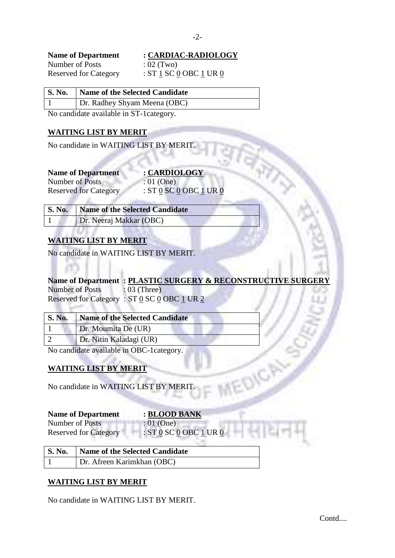| <b>Name of Department</b>    |  |  |
|------------------------------|--|--|
| Number of Posts              |  |  |
| <b>Reserved for Category</b> |  |  |

### **Name of Department : CARDIAC-RADIOLOGY**

 $: 02$  (Two) : ST  $1$  SC  $0$  OBC  $1$  UR  $0$ 

#### **S. No. Name of the Selected Candidate**

1 Dr. Radhey Shyam Meena (OBC)

No candidate available in ST-1category.

### **WAITING LIST BY MERIT**

No candidate in WAITING LIST BY MERIT.

**Name of Department : CARDIOLOGY** Number of Posts : 01 (One)

1 d.

**ALLA** 

Reserved for Category : ST <u>0</u> SC 0 OBC 1 UR 0

| S. No. Name of the Selected Candidate |
|---------------------------------------|
| Dr. Neeraj Makkar (OBC)               |

# **WAITING LIST BY MERIT**

No candidate in WAITING LIST BY MERIT.

# **Name of Department : PLASTIC SURGERY & RECONSTRUCTIVE SURGERY** Number of Posts : 03 (Three)

REDICA

Reserved for Category :  $ST$   $\underline{0}$   $SC$   $\underline{0}$   $OBC$  1 UR 2 1949 N.N. ÷

| <b>S. No.</b> | Name of the Selected Candidate |
|---------------|--------------------------------|
|               | Dr. Moumita De (UR)            |
|               | Dr. Nitin Kaladagi (UR)        |

No candidate available in OBC-1category.

# **WAITING LIST BY MERIT**

No candidate in WAITING LIST BY MERIT.

#### **Name of Department : BLOOD BANK**

Number of Posts<br>
Reserved for Category<br>
STO SCO OBC Reserved for Category : ST 0 SC 0 OBC 1 UR 0

|                        | S. No.   Name of the Selected Candidate                             |
|------------------------|---------------------------------------------------------------------|
| KUSU VUU TOI CAIUSOI J | $\frac{1}{2}$ . $\frac{1}{2}$ by $\frac{1}{2}$ ODC $\frac{1}{2}$ OI |

1 Dr. Afreen Karimkhan (OBC)

### **WAITING LIST BY MERIT**

No candidate in WAITING LIST BY MERIT.